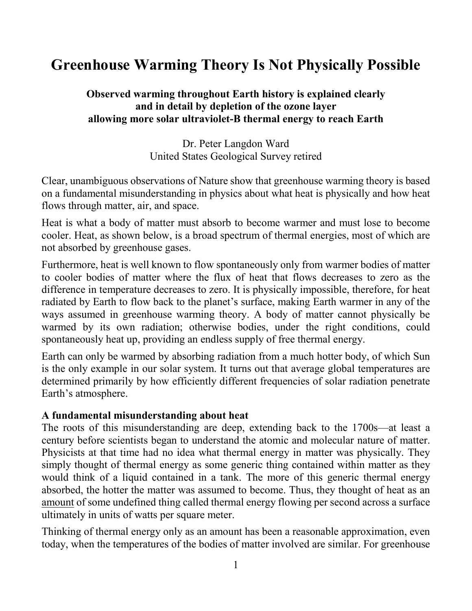# **Greenhouse Warming Theory Is Not Physically Possible**

# **Observed warming throughout Earth history is explained clearly and in detail by depletion of the ozone layer allowing more solar ultraviolet-B thermal energy to reach Earth**

Dr. Peter Langdon Ward United States Geological Survey retired

Clear, unambiguous observations of Nature show that greenhouse warming theory is based on a fundamental misunderstanding in physics about what heat is physically and how heat flows through matter, air, and space.

Heat is what a body of matter must absorb to become warmer and must lose to become cooler. Heat, as shown below, is a broad spectrum of thermal energies, most of which are not absorbed by greenhouse gases.

Furthermore, heat is well known to flow spontaneously only from warmer bodies of matter to cooler bodies of matter where the flux of heat that flows decreases to zero as the difference in temperature decreases to zero. It is physically impossible, therefore, for heat radiated by Earth to flow back to the planet's surface, making Earth warmer in any of the ways assumed in greenhouse warming theory. A body of matter cannot physically be warmed by its own radiation; otherwise bodies, under the right conditions, could spontaneously heat up, providing an endless supply of free thermal energy.

Earth can only be warmed by absorbing radiation from a much hotter body, of which Sun is the only example in our solar system. It turns out that average global temperatures are determined primarily by how efficiently different frequencies of solar radiation penetrate Earth's atmosphere.

## **A fundamental misunderstanding about heat**

The roots of this misunderstanding are deep, extending back to the 1700s—at least a century before scientists began to understand the atomic and molecular nature of matter. Physicists at that time had no idea what thermal energy in matter was physically. They simply thought of thermal energy as some generic thing contained within matter as they would think of a liquid contained in a tank. The more of this generic thermal energy absorbed, the hotter the matter was assumed to become. Thus, they thought of heat as an amount of some undefined thing called thermal energy flowing per second across a surface ultimately in units of watts per square meter.

Thinking of thermal energy only as an amount has been a reasonable approximation, even today, when the temperatures of the bodies of matter involved are similar. For greenhouse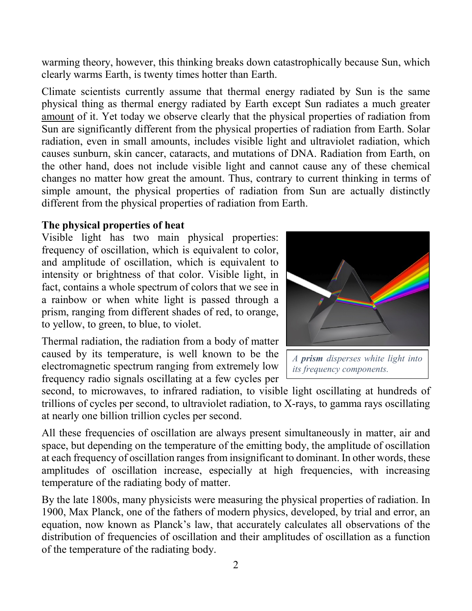warming theory, however, this thinking breaks down catastrophically because Sun, which clearly warms Earth, is twenty times hotter than Earth.

Climate scientists currently assume that thermal energy radiated by Sun is the same physical thing as thermal energy radiated by Earth except Sun radiates a much greater amount of it. Yet today we observe clearly that the physical properties of radiation from Sun are significantly different from the physical properties of radiation from Earth. Solar radiation, even in small amounts, includes visible light and ultraviolet radiation, which causes sunburn, skin cancer, cataracts, and mutations of DNA. Radiation from Earth, on the other hand, does not include visible light and cannot cause any of these chemical changes no matter how great the amount. Thus, contrary to current thinking in terms of simple amount, the physical properties of radiation from Sun are actually distinctly different from the physical properties of radiation from Earth.

#### **The physical properties of heat**

Visible light has two main physical properties: frequency of oscillation, which is equivalent to color, and amplitude of oscillation, which is equivalent to intensity or brightness of that color. Visible light, in fact, contains a whole spectrum of colors that we see in a rainbow or when white light is passed through a prism, ranging from different shades of red, to orange, to yellow, to green, to blue, to violet.

Thermal radiation, the radiation from a body of matter caused by its temperature, is well known to be the electromagnetic spectrum ranging from extremely low frequency radio signals oscillating at a few cycles per

second, to microwaves, to infrared radiation, to visible light oscillating at hundreds of trillions of cycles per second, to ultraviolet radiation, to X-rays, to gamma rays oscillating at nearly one billion trillion cycles per second.

All these frequencies of oscillation are always present simultaneously in matter, air and space, but depending on the temperature of the emitting body, the amplitude of oscillation at each frequency of oscillation ranges from insignificant to dominant. In other words, these amplitudes of oscillation increase, especially at high frequencies, with increasing temperature of the radiating body of matter.

By the late 1800s, many physicists were measuring the physical properties of radiation. In 1900, Max Planck, one of the fathers of modern physics, developed, by trial and error, an equation, now known as Planck's law, that accurately calculates all observations of the distribution of frequencies of oscillation and their amplitudes of oscillation as a function of the temperature of the radiating body.



*A prism disperses white light into its frequency components.*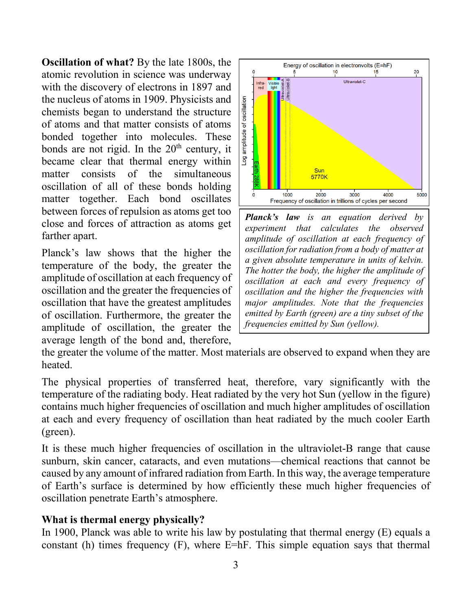**Oscillation of what?** By the late 1800s, the atomic revolution in science was underway with the discovery of electrons in 1897 and the nucleus of atoms in 1909. Physicists and chemists began to understand the structure of atoms and that matter consists of atoms bonded together into molecules. These bonds are not rigid. In the  $20<sup>th</sup>$  century, it became clear that thermal energy within matter consists of the simultaneous oscillation of all of these bonds holding matter together. Each bond oscillates between forces of repulsion as atoms get too close and forces of attraction as atoms get farther apart.

Planck's law shows that the higher the temperature of the body, the greater the amplitude of oscillation at each frequency of oscillation and the greater the frequencies of oscillation that have the greatest amplitudes of oscillation. Furthermore, the greater the amplitude of oscillation, the greater the average length of the bond and, therefore,



*Planck's law is an equation derived by experiment that calculates the observed amplitude of oscillation at each frequency of oscillation for radiation from a body of matter at a given absolute temperature in units of kelvin. The hotter the body, the higher the amplitude of oscillation at each and every frequency of oscillation and the higher the frequencies with major amplitudes. Note that the frequencies emitted by Earth (green) are a tiny subset of the frequencies emitted by Sun (yellow).*

the greater the volume of the matter. Most materials are observed to expand when they are heated.

The physical properties of transferred heat, therefore, vary significantly with the temperature of the radiating body. Heat radiated by the very hot Sun (yellow in the figure) contains much higher frequencies of oscillation and much higher amplitudes of oscillation at each and every frequency of oscillation than heat radiated by the much cooler Earth (green).

It is these much higher frequencies of oscillation in the ultraviolet-B range that cause sunburn, skin cancer, cataracts, and even mutations—chemical reactions that cannot be caused by any amount of infrared radiation from Earth. In this way, the average temperature of Earth's surface is determined by how efficiently these much higher frequencies of oscillation penetrate Earth's atmosphere.

# **What is thermal energy physically?**

In 1900, Planck was able to write his law by postulating that thermal energy (E) equals a constant (h) times frequency  $(F)$ , where E=hF. This simple equation says that thermal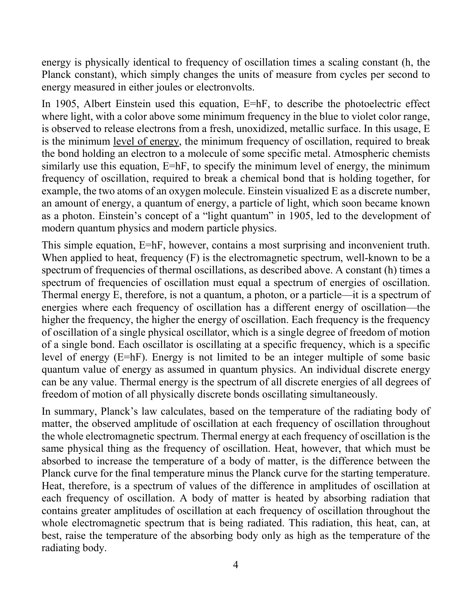energy is physically identical to frequency of oscillation times a scaling constant (h, the Planck constant), which simply changes the units of measure from cycles per second to energy measured in either joules or electronvolts.

In 1905, Albert Einstein used this equation, E=hF, to describe the photoelectric effect where light, with a color above some minimum frequency in the blue to violet color range, is observed to release electrons from a fresh, unoxidized, metallic surface. In this usage, E is the minimum level of energy, the minimum frequency of oscillation, required to break the bond holding an electron to a molecule of some specific metal. Atmospheric chemists similarly use this equation, E=hF, to specify the minimum level of energy, the minimum frequency of oscillation, required to break a chemical bond that is holding together, for example, the two atoms of an oxygen molecule. Einstein visualized E as a discrete number, an amount of energy, a quantum of energy, a particle of light, which soon became known as a photon. Einstein's concept of a "light quantum" in 1905, led to the development of modern quantum physics and modern particle physics.

This simple equation, E=hF, however, contains a most surprising and inconvenient truth. When applied to heat, frequency (F) is the electromagnetic spectrum, well-known to be a spectrum of frequencies of thermal oscillations, as described above. A constant (h) times a spectrum of frequencies of oscillation must equal a spectrum of energies of oscillation. Thermal energy E, therefore, is not a quantum, a photon, or a particle—it is a spectrum of energies where each frequency of oscillation has a different energy of oscillation—the higher the frequency, the higher the energy of oscillation. Each frequency is the frequency of oscillation of a single physical oscillator, which is a single degree of freedom of motion of a single bond. Each oscillator is oscillating at a specific frequency, which is a specific level of energy (E=hF). Energy is not limited to be an integer multiple of some basic quantum value of energy as assumed in quantum physics. An individual discrete energy can be any value. Thermal energy is the spectrum of all discrete energies of all degrees of freedom of motion of all physically discrete bonds oscillating simultaneously.

In summary, Planck's law calculates, based on the temperature of the radiating body of matter, the observed amplitude of oscillation at each frequency of oscillation throughout the whole electromagnetic spectrum. Thermal energy at each frequency of oscillation is the same physical thing as the frequency of oscillation. Heat, however, that which must be absorbed to increase the temperature of a body of matter, is the difference between the Planck curve for the final temperature minus the Planck curve for the starting temperature. Heat, therefore, is a spectrum of values of the difference in amplitudes of oscillation at each frequency of oscillation. A body of matter is heated by absorbing radiation that contains greater amplitudes of oscillation at each frequency of oscillation throughout the whole electromagnetic spectrum that is being radiated. This radiation, this heat, can, at best, raise the temperature of the absorbing body only as high as the temperature of the radiating body.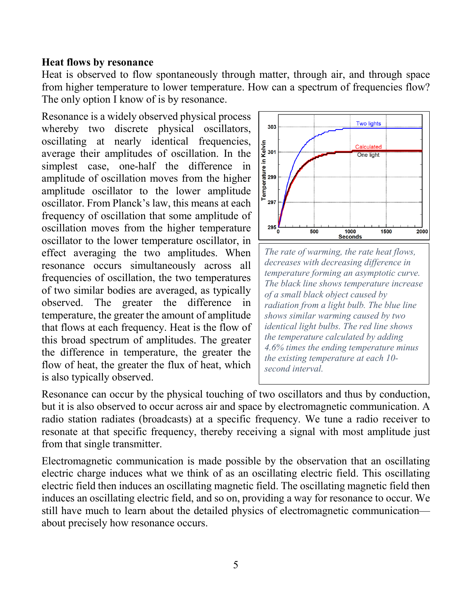#### **Heat flows by resonance**

Heat is observed to flow spontaneously through matter, through air, and through space from higher temperature to lower temperature. How can a spectrum of frequencies flow? The only option I know of is by resonance.

Resonance is a widely observed physical process whereby two discrete physical oscillators, oscillating at nearly identical frequencies, average their amplitudes of oscillation. In the simplest case, one-half the difference in amplitude of oscillation moves from the higher amplitude oscillator to the lower amplitude oscillator. From Planck's law, this means at each frequency of oscillation that some amplitude of oscillation moves from the higher temperature oscillator to the lower temperature oscillator, in effect averaging the two amplitudes. When resonance occurs simultaneously across all frequencies of oscillation, the two temperatures of two similar bodies are averaged, as typically observed. The greater the difference in temperature, the greater the amount of amplitude that flows at each frequency. Heat is the flow of this broad spectrum of amplitudes. The greater the difference in temperature, the greater the flow of heat, the greater the flux of heat, which is also typically observed.



*The rate of warming, the rate heat flows, decreases with decreasing difference in temperature forming an asymptotic curve. The black line shows temperature increase of a small black object caused by radiation from a light bulb. The blue line shows similar warming caused by two identical light bulbs. The red line shows the temperature calculated by adding 4.6% times the ending temperature minus the existing temperature at each 10 second interval.*

Resonance can occur by the physical touching of two oscillators and thus by conduction, but it is also observed to occur across air and space by electromagnetic communication. A radio station radiates (broadcasts) at a specific frequency. We tune a radio receiver to resonate at that specific frequency, thereby receiving a signal with most amplitude just from that single transmitter.

Electromagnetic communication is made possible by the observation that an oscillating electric charge induces what we think of as an oscillating electric field. This oscillating electric field then induces an oscillating magnetic field. The oscillating magnetic field then induces an oscillating electric field, and so on, providing a way for resonance to occur. We still have much to learn about the detailed physics of electromagnetic communication about precisely how resonance occurs.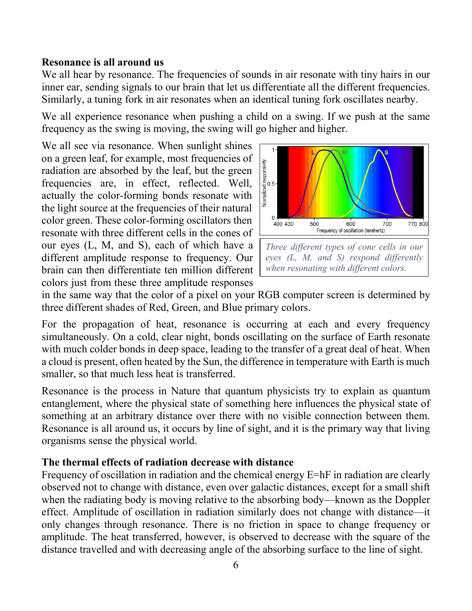#### **Resonance is all around us**

We all hear by resonance. The frequencies of sounds in air resonate with tiny hairs in our inner ear, sending signals to our brain that let us differentiate all the different frequencies. Similarly, a tuning fork in air resonates when an identical tuning fork oscillates nearby.

We all experience resonance when pushing a child on a swing. If we push at the same frequency as the swing is moving, the swing will go higher and higher.

We all see via resonance. When sunlight shines on a green leaf, for example, most frequencies of radiation are absorbed by the leaf, but the green frequencies are, in effect, reflected. Well, actually the color-forming bonds resonate with the light source at the frequencies of their natural color green. These color-forming oscillators then resonate with three different cells in the cones of our eyes (L, M, and S), each of which have a different amplitude response to frequency. Our brain can then differentiate ten million different colors just from these three amplitude responses



in the same way that the color of a pixel on your RGB computer screen is determined by three different shades of Red, Green, and Blue primary colors.

For the propagation of heat, resonance is occurring at each and every frequency simultaneously. On a cold, clear night, bonds oscillating on the surface of Earth resonate with much colder bonds in deep space, leading to the transfer of a great deal of heat. When a cloud is present, often heated by the Sun, the difference in temperature with Earth is much smaller, so that much less heat is transferred.

Resonance is the process in Nature that quantum physicists try to explain as quantum entanglement, where the physical state of something here influences the physical state of something at an arbitrary distance over there with no visible connection between them. Resonance is all around us, it occurs by line of sight, and it is the primary way that living organisms sense the physical world.

## **The thermal effects of radiation decrease with distance**

Frequency of oscillation in radiation and the chemical energy E=hF in radiation are clearly observed not to change with distance, even over galactic distances, except for a small shift when the radiating body is moving relative to the absorbing body—known as the Doppler effect. Amplitude of oscillation in radiation similarly does not change with distance—it only changes through resonance. There is no friction in space to change frequency or amplitude. The heat transferred, however, is observed to decrease with the square of the distance travelled and with decreasing angle of the absorbing surface to the line of sight.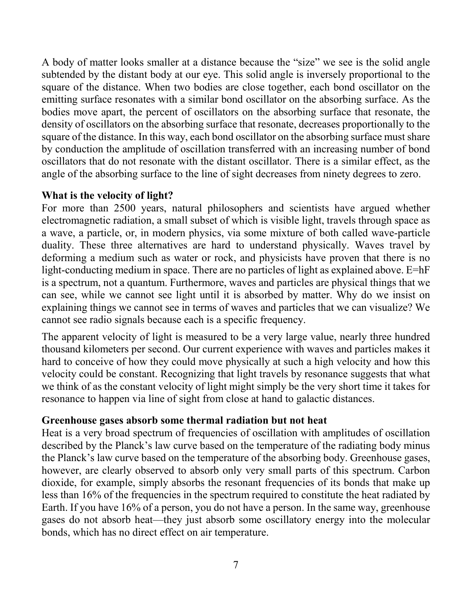A body of matter looks smaller at a distance because the "size" we see is the solid angle subtended by the distant body at our eye. This solid angle is inversely proportional to the square of the distance. When two bodies are close together, each bond oscillator on the emitting surface resonates with a similar bond oscillator on the absorbing surface. As the bodies move apart, the percent of oscillators on the absorbing surface that resonate, the density of oscillators on the absorbing surface that resonate, decreases proportionally to the square of the distance. In this way, each bond oscillator on the absorbing surface must share by conduction the amplitude of oscillation transferred with an increasing number of bond oscillators that do not resonate with the distant oscillator. There is a similar effect, as the angle of the absorbing surface to the line of sight decreases from ninety degrees to zero.

# **What is the velocity of light?**

For more than 2500 years, natural philosophers and scientists have argued whether electromagnetic radiation, a small subset of which is visible light, travels through space as a wave, a particle, or, in modern physics, via some mixture of both called wave-particle duality. These three alternatives are hard to understand physically. Waves travel by deforming a medium such as water or rock, and physicists have proven that there is no light-conducting medium in space. There are no particles of light as explained above. E=hF is a spectrum, not a quantum. Furthermore, waves and particles are physical things that we can see, while we cannot see light until it is absorbed by matter. Why do we insist on explaining things we cannot see in terms of waves and particles that we can visualize? We cannot see radio signals because each is a specific frequency.

The apparent velocity of light is measured to be a very large value, nearly three hundred thousand kilometers per second. Our current experience with waves and particles makes it hard to conceive of how they could move physically at such a high velocity and how this velocity could be constant. Recognizing that light travels by resonance suggests that what we think of as the constant velocity of light might simply be the very short time it takes for resonance to happen via line of sight from close at hand to galactic distances.

# **Greenhouse gases absorb some thermal radiation but not heat**

Heat is a very broad spectrum of frequencies of oscillation with amplitudes of oscillation described by the Planck's law curve based on the temperature of the radiating body minus the Planck's law curve based on the temperature of the absorbing body. Greenhouse gases, however, are clearly observed to absorb only very small parts of this spectrum. Carbon dioxide, for example, simply absorbs the resonant frequencies of its bonds that make up less than 16% of the frequencies in the spectrum required to constitute the heat radiated by Earth. If you have 16% of a person, you do not have a person. In the same way, greenhouse gases do not absorb heat—they just absorb some oscillatory energy into the molecular bonds, which has no direct effect on air temperature.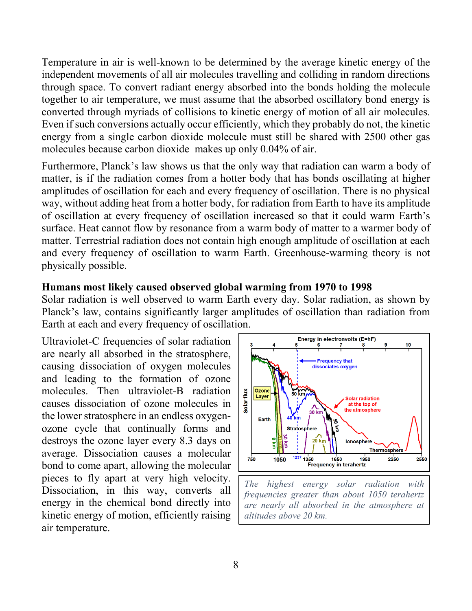Temperature in air is well-known to be determined by the average kinetic energy of the independent movements of all air molecules travelling and colliding in random directions through space. To convert radiant energy absorbed into the bonds holding the molecule together to air temperature, we must assume that the absorbed oscillatory bond energy is converted through myriads of collisions to kinetic energy of motion of all air molecules. Even if such conversions actually occur efficiently, which they probably do not, the kinetic energy from a single carbon dioxide molecule must still be shared with 2500 other gas molecules because carbon dioxide makes up only 0.04% of air.

Furthermore, Planck's law shows us that the only way that radiation can warm a body of matter, is if the radiation comes from a hotter body that has bonds oscillating at higher amplitudes of oscillation for each and every frequency of oscillation. There is no physical way, without adding heat from a hotter body, for radiation from Earth to have its amplitude of oscillation at every frequency of oscillation increased so that it could warm Earth's surface. Heat cannot flow by resonance from a warm body of matter to a warmer body of matter. Terrestrial radiation does not contain high enough amplitude of oscillation at each and every frequency of oscillation to warm Earth. Greenhouse-warming theory is not physically possible.

#### **Humans most likely caused observed global warming from 1970 to 1998**

Solar radiation is well observed to warm Earth every day. Solar radiation, as shown by Planck's law, contains significantly larger amplitudes of oscillation than radiation from Earth at each and every frequency of oscillation.

Ultraviolet-C frequencies of solar radiation are nearly all absorbed in the stratosphere, causing dissociation of oxygen molecules and leading to the formation of ozone molecules. Then ultraviolet-B radiation causes dissociation of ozone molecules in the lower stratosphere in an endless oxygenozone cycle that continually forms and destroys the ozone layer every 8.3 days on average. Dissociation causes a molecular bond to come apart, allowing the molecular pieces to fly apart at very high velocity. Dissociation, in this way, converts all energy in the chemical bond directly into kinetic energy of motion, efficiently raising air temperature.



*are nearly all absorbed in the atmosphere at altitudes above 20 km.*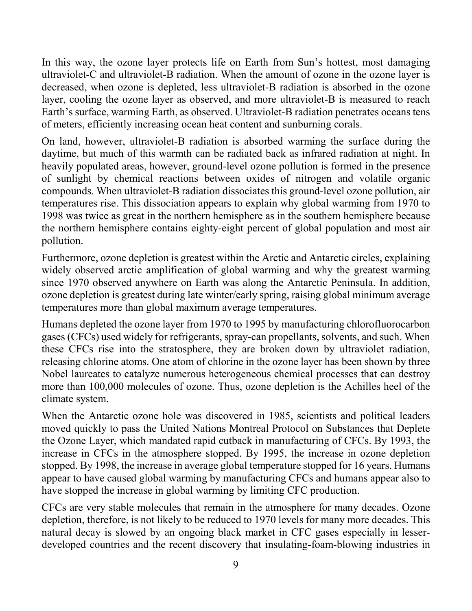In this way, the ozone layer protects life on Earth from Sun's hottest, most damaging ultraviolet-C and ultraviolet-B radiation. When the amount of ozone in the ozone layer is decreased, when ozone is depleted, less ultraviolet-B radiation is absorbed in the ozone layer, cooling the ozone layer as observed, and more ultraviolet-B is measured to reach Earth's surface, warming Earth, as observed. Ultraviolet-B radiation penetrates oceans tens of meters, efficiently increasing ocean heat content and sunburning corals.

On land, however, ultraviolet-B radiation is absorbed warming the surface during the daytime, but much of this warmth can be radiated back as infrared radiation at night. In heavily populated areas, however, ground-level ozone pollution is formed in the presence of sunlight by chemical reactions between oxides of nitrogen and volatile organic compounds. When ultraviolet-B radiation dissociates this ground-level ozone pollution, air temperatures rise. This dissociation appears to explain why global warming from 1970 to 1998 was twice as great in the northern hemisphere as in the southern hemisphere because the northern hemisphere contains eighty-eight percent of global population and most air pollution.

Furthermore, ozone depletion is greatest within the Arctic and Antarctic circles, explaining widely observed arctic amplification of global warming and why the greatest warming since 1970 observed anywhere on Earth was along the Antarctic Peninsula. In addition, ozone depletion is greatest during late winter/early spring, raising global minimum average temperatures more than global maximum average temperatures.

Humans depleted the ozone layer from 1970 to 1995 by manufacturing chlorofluorocarbon gases (CFCs) used widely for refrigerants, spray-can propellants, solvents, and such. When these CFCs rise into the stratosphere, they are broken down by ultraviolet radiation, releasing chlorine atoms. One atom of chlorine in the ozone layer has been shown by three Nobel laureates to catalyze numerous heterogeneous chemical processes that can destroy more than 100,000 molecules of ozone. Thus, ozone depletion is the Achilles heel of the climate system.

When the Antarctic ozone hole was discovered in 1985, scientists and political leaders moved quickly to pass the United Nations Montreal Protocol on Substances that Deplete the Ozone Layer, which mandated rapid cutback in manufacturing of CFCs. By 1993, the increase in CFCs in the atmosphere stopped. By 1995, the increase in ozone depletion stopped. By 1998, the increase in average global temperature stopped for 16 years. Humans appear to have caused global warming by manufacturing CFCs and humans appear also to have stopped the increase in global warming by limiting CFC production.

CFCs are very stable molecules that remain in the atmosphere for many decades. Ozone depletion, therefore, is not likely to be reduced to 1970 levels for many more decades. This natural decay is slowed by an ongoing black market in CFC gases especially in lesserdeveloped countries and the recent discovery that insulating-foam-blowing industries in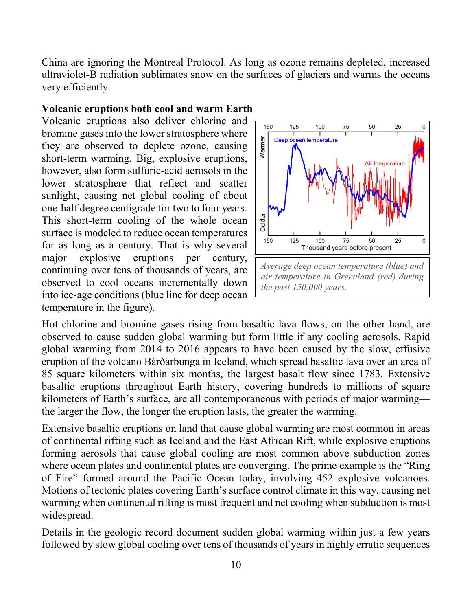China are ignoring the Montreal Protocol. As long as ozone remains depleted, increased ultraviolet-B radiation sublimates snow on the surfaces of glaciers and warms the oceans very efficiently.

#### **Volcanic eruptions both cool and warm Earth**

Volcanic eruptions also deliver chlorine and bromine gases into the lower stratosphere where they are observed to deplete ozone, causing short-term warming. Big, explosive eruptions, however, also form sulfuric-acid aerosols in the lower stratosphere that reflect and scatter sunlight, causing net global cooling of about one-half degree centigrade for two to four years. This short-term cooling of the whole ocean surface is modeled to reduce ocean temperatures for as long as a century. That is why several major explosive eruptions per century, continuing over tens of thousands of years, are observed to cool oceans incrementally down into ice-age conditions (blue line for deep ocean temperature in the figure).



Hot chlorine and bromine gases rising from basaltic lava flows, on the other hand, are observed to cause sudden global warming but form little if any cooling aerosols. Rapid global warming from 2014 to 2016 appears to have been caused by the slow, effusive eruption of the volcano Bárðarbunga in Iceland, which spread basaltic lava over an area of 85 square kilometers within six months, the largest basalt flow since 1783. Extensive basaltic eruptions throughout Earth history, covering hundreds to millions of square kilometers of Earth's surface, are all contemporaneous with periods of major warming the larger the flow, the longer the eruption lasts, the greater the warming.

Extensive basaltic eruptions on land that cause global warming are most common in areas of continental rifting such as Iceland and the East African Rift, while explosive eruptions forming aerosols that cause global cooling are most common above subduction zones where ocean plates and continental plates are converging. The prime example is the "Ring of Fire" formed around the Pacific Ocean today, involving 452 explosive volcanoes. Motions of tectonic plates covering Earth's surface control climate in this way, causing net warming when continental rifting is most frequent and net cooling when subduction is most widespread.

Details in the geologic record document sudden global warming within just a few years followed by slow global cooling over tens of thousands of years in highly erratic sequences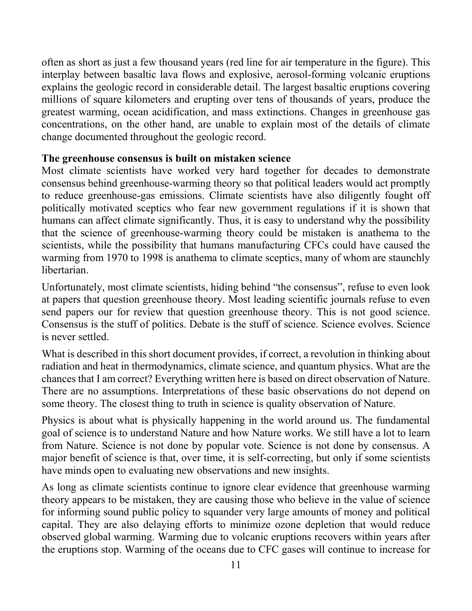often as short as just a few thousand years (red line for air temperature in the figure). This interplay between basaltic lava flows and explosive, aerosol-forming volcanic eruptions explains the geologic record in considerable detail. The largest basaltic eruptions covering millions of square kilometers and erupting over tens of thousands of years, produce the greatest warming, ocean acidification, and mass extinctions. Changes in greenhouse gas concentrations, on the other hand, are unable to explain most of the details of climate change documented throughout the geologic record.

## **The greenhouse consensus is built on mistaken science**

Most climate scientists have worked very hard together for decades to demonstrate consensus behind greenhouse-warming theory so that political leaders would act promptly to reduce greenhouse-gas emissions. Climate scientists have also diligently fought off politically motivated sceptics who fear new government regulations if it is shown that humans can affect climate significantly. Thus, it is easy to understand why the possibility that the science of greenhouse-warming theory could be mistaken is anathema to the scientists, while the possibility that humans manufacturing CFCs could have caused the warming from 1970 to 1998 is anathema to climate sceptics, many of whom are staunchly libertarian.

Unfortunately, most climate scientists, hiding behind "the consensus", refuse to even look at papers that question greenhouse theory. Most leading scientific journals refuse to even send papers our for review that question greenhouse theory. This is not good science. Consensus is the stuff of politics. Debate is the stuff of science. Science evolves. Science is never settled.

What is described in this short document provides, if correct, a revolution in thinking about radiation and heat in thermodynamics, climate science, and quantum physics. What are the chances that I am correct? Everything written here is based on direct observation of Nature. There are no assumptions. Interpretations of these basic observations do not depend on some theory. The closest thing to truth in science is quality observation of Nature.

Physics is about what is physically happening in the world around us. The fundamental goal of science is to understand Nature and how Nature works. We still have a lot to learn from Nature. Science is not done by popular vote. Science is not done by consensus. A major benefit of science is that, over time, it is self-correcting, but only if some scientists have minds open to evaluating new observations and new insights.

As long as climate scientists continue to ignore clear evidence that greenhouse warming theory appears to be mistaken, they are causing those who believe in the value of science for informing sound public policy to squander very large amounts of money and political capital. They are also delaying efforts to minimize ozone depletion that would reduce observed global warming. Warming due to volcanic eruptions recovers within years after the eruptions stop. Warming of the oceans due to CFC gases will continue to increase for